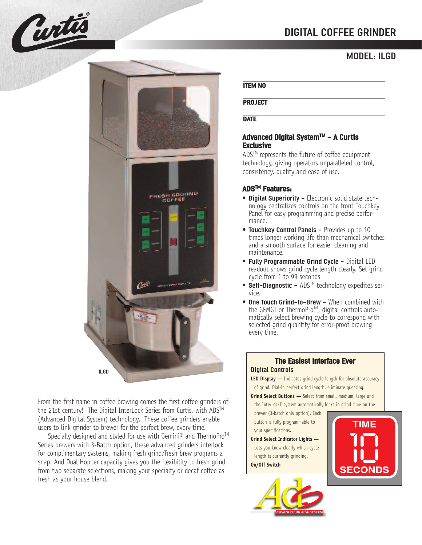# **DIGITAL COFFEE GRINDER**

### **MODEL: ILGD**



From the first name in coffee brewing comes the first coffee grinders of the 21st century! The Digital InterLock Series from Curtis, with ADS™ (Advanced Digital System) technology. These coffee grinders enable users to link grinder to brewer for the perfect brew, every time.

Specially designed and styled for use with Gemini® and ThermoPro<sup>™</sup> Series brewers with 3-Batch option, these advanced grinders interlock for complimentary systems, making fresh grind/fresh brew programs a snap. And Dual Hopper capacity gives you the flexibility to fresh grind from two separate selections, making your specialty or decaf coffee as fresh as your house blend.

#### **ITEM NO**

**PROJECT**

**DATE**

### **Advanced Digital SystemTM - A Curtis Exclusive**

ADS™ represents the future of coffee equipment technology, giving operators unparalleled control, consistency, quality and ease of use.

### **ADSTM Features:**

- **Digital Superiority -** Electronic solid state technology centralizes controls on the front Touchkey Panel for easy programming and precise performance.
- **Touchkey Control Panels -** Provides up to 10 times longer working life than mechanical switches and a smooth surface for easier cleaning and maintenance.
- **Fully Programmable Grind Cycle -** Digital LED readout shows grind cycle length clearly. Set grind cycle from 1 to 99 seconds
- **Self-Diagnostic -** ADS<sup>TM</sup> technology expedites service.
- **One Touch Grind-to-Brew -** When combined with the GEMGT or ThermoPro™, digital controls automatically select brewing cycle to correspond with selected grind quantity for error-proof brewing every time.

### **The Easiest Interface Ever Digital Controls**

**LED Display -** Indicates grind cycle length for absolute accuracy of grind. Dial-in perfect grind length, eliminate guessing.

**Grind Select Buttons -** Select from small, medium, large and

- the InterLockE system automatically locks in grind time on the brewer (3-batch only option). Each
- button is fully programmable to your specifications.

### **Grind Select Indicator Lights —**

Lets you know clearly which cycle length is currently grinding.